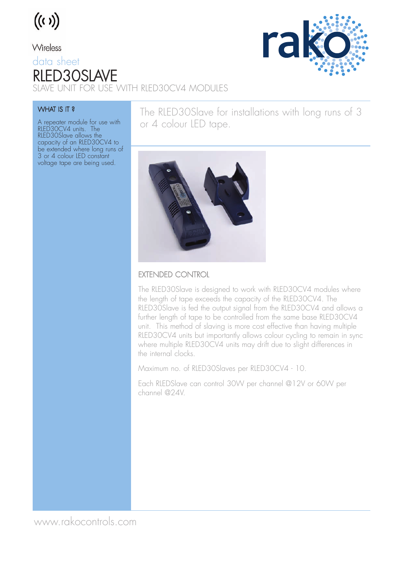

#### Wireless data sheet RLED30SLAVE SLAVE UNIT FOR USE WITH RLED30CV4 MODULES



#### WHAT IS IT?

A repeater module for use with RLED30CV4 units. The RLED30Slave allows the capacity of an RLED30CV4 to be extended where long runs of 3 or 4 colour LED constant voltage tape are being used.

The RLED30Slave for installations with long runs of 3 or 4 colour LED tape.



#### EXTENDED CONTROL

The RLED30Slave is designed to work with RLED30CV4 modules where the length of tape exceeds the capacity of the RLED30CV4. The RLED30Slave is fed the output signal from the RLED30CV4 and allows a further length of tape to be controlled from the same base RLED30CV4 unit. This method of slaving is more cost effective than having multiple RLED30CV4 units but importantly allows colour cycling to remain in sync where multiple RLED30CV4 units may drift due to slight differences in the internal clocks.

Maximum no. of RLED30Slaves per RLED30CV4 - 10.

Each RLEDSlave can control 30W per channel @12V or 60W per channel @24V.